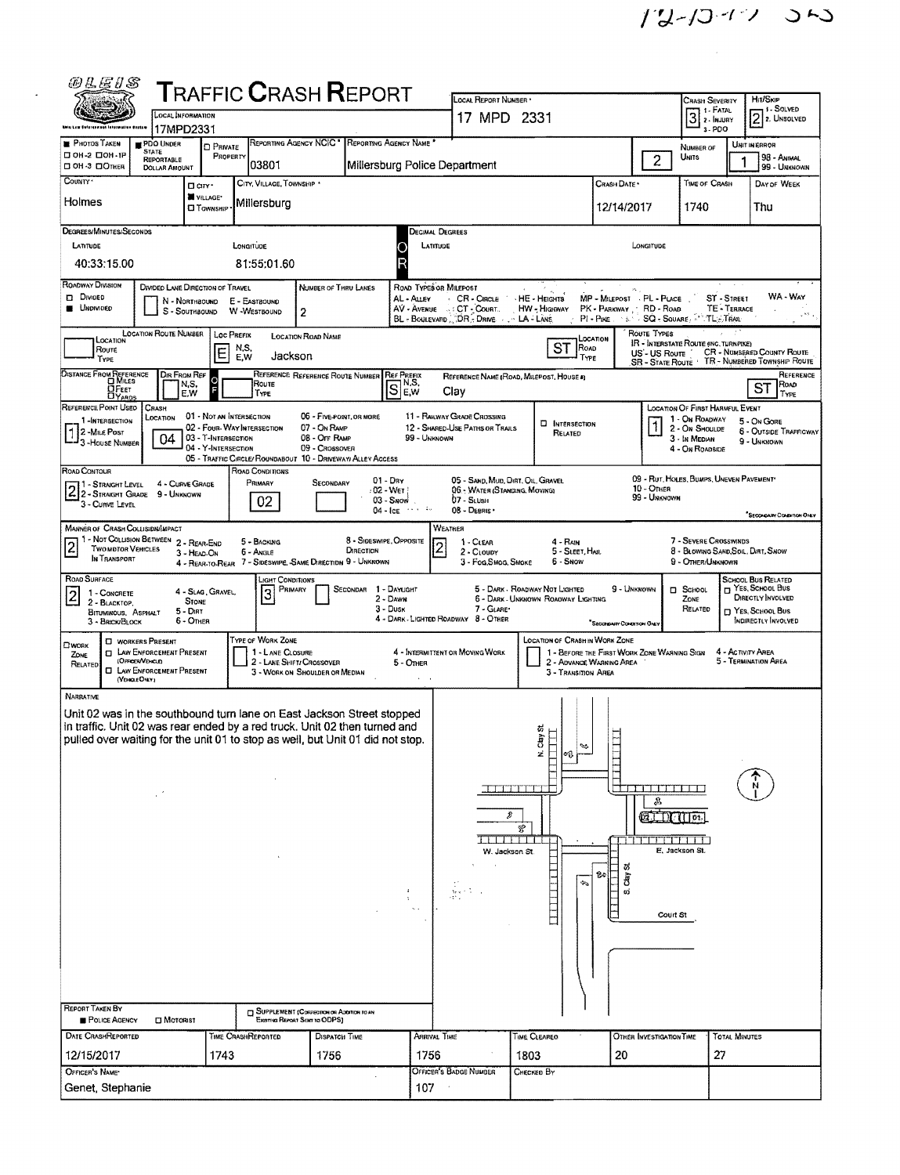| <i>®LE1S</i>                                                                                |                                                    |                              |                                                            |                                  | <b>T</b> RAFFIC <b>C</b> RASH <b>R</b> EPORT                            |                                      | LOCAL REPORT NUMBER                                               |                                          |                                                        |                                                                  | <b>CRASH SEVERITY</b>                                       |                                | <b>HIT/SKIP</b>                                                                      |  |  |
|---------------------------------------------------------------------------------------------|----------------------------------------------------|------------------------------|------------------------------------------------------------|----------------------------------|-------------------------------------------------------------------------|--------------------------------------|-------------------------------------------------------------------|------------------------------------------|--------------------------------------------------------|------------------------------------------------------------------|-------------------------------------------------------------|--------------------------------|--------------------------------------------------------------------------------------|--|--|
|                                                                                             | <b>LOCAL INFORMATION</b>                           |                              |                                                            |                                  |                                                                         |                                      | 17 MPD 2331                                                       |                                          |                                                        |                                                                  | 1 1 - Fatal<br>$3$ $\frac{1.1111}{2.000}$                   |                                | 1 - Solved<br>$[2]$ <sub>2</sub> . UNSOLVED                                          |  |  |
| <b>PHOTOS TAKEN</b><br>PDO UNDER                                                            | 17MPD2331                                          |                              |                                                            |                                  | REPORTING AGENCY NCIC <sup>*</sup> REPORTING AGENCY NAME                |                                      |                                                                   |                                          |                                                        |                                                                  | 3-PDO                                                       |                                | UNIT IN ERROR                                                                        |  |  |
| <b>STATE</b><br>П 0Н-2 П 0Н-1Р<br><b>REPORTABLE</b><br>C OH -3 COTHER                       |                                                    | <b>D</b> PRIVATE<br>PROPERTY | 03801                                                      |                                  | Millersburg Police Department                                           |                                      |                                                                   |                                          |                                                        | $\overline{2}$                                                   | NUMBER OF<br>Units                                          |                                | 98 - Animal                                                                          |  |  |
| COUNTY .                                                                                    | <b>DOLLAR AMOUNT</b><br>D any -                    |                              | CITY, VILLAGE, TOWNSHIP *                                  |                                  |                                                                         |                                      |                                                                   |                                          | CRASH DATE *                                           |                                                                  | <b>TIME OF CRASH</b>                                        |                                | 99 - UNKNOWN<br>DAY OF WEEK                                                          |  |  |
| Holmes                                                                                      | WILLAGE*                                           |                              | Millersburg                                                |                                  |                                                                         |                                      |                                                                   |                                          |                                                        |                                                                  |                                                             |                                |                                                                                      |  |  |
|                                                                                             | <b>LI TOWNSHIP</b>                                 |                              |                                                            |                                  |                                                                         |                                      |                                                                   |                                          | 12/14/2017                                             |                                                                  | 1740                                                        |                                | Thu                                                                                  |  |  |
| DEGREES/MINUTES/SECONDS<br>LATITUDE                                                         |                                                    |                              | LONGITUDE                                                  |                                  |                                                                         | Decimal Degrees<br>LATITUDE          |                                                                   |                                          |                                                        | LONGITUDE                                                        |                                                             |                                |                                                                                      |  |  |
| 40:33:15.00                                                                                 |                                                    |                              | 81:55:01.60                                                |                                  |                                                                         |                                      |                                                                   |                                          |                                                        |                                                                  |                                                             |                                |                                                                                      |  |  |
| ROADWAY DIVISION                                                                            |                                                    |                              |                                                            |                                  |                                                                         |                                      |                                                                   |                                          |                                                        |                                                                  |                                                             |                                |                                                                                      |  |  |
| <b>DI DIVIDED</b>                                                                           | DIVIDED LANE DIRECTION OF TRAVEL<br>N - Northbound |                              | E - EASTBOUND                                              | NUMBER OF THRU LANES             |                                                                         | ROAD TYPES OR MILEPOST<br>AL - ALLEY | CR - CIRCLE HE - HEIGHTS                                          |                                          | MP - MILEPOST - PL - PLACE                             |                                                                  |                                                             | ST - STREET                    | WA - Way                                                                             |  |  |
| <b>B</b> UNDIVIDED                                                                          | S - SOUTHBOUND                                     |                              | W -WESTBOUND                                               | 2                                |                                                                         |                                      | AV - AVENUE : CT - COURT.<br>BL - BOULEVARD DR. - DRIVE LA - LANE | HW - Highway                             | PK - PARKWAY . RD - ROAD<br>PI - PIKE NEWS SQ - SQUARE |                                                                  |                                                             | TE - TERRACE<br><b>TL-TRAI</b> |                                                                                      |  |  |
| LOCATION ROUTE NUMBER<br>LOCATION                                                           |                                                    | Loc Prefix                   |                                                            | LOCATION ROAD NAME               |                                                                         |                                      |                                                                   |                                          | <b>LOCATION</b>                                        | ROUTE TYPES                                                      | <b>IR - INTERSTATE ROUTE (INC. TURNPIKE)</b>                |                                |                                                                                      |  |  |
| Route<br>TYPE                                                                               |                                                    | N,S,<br>E<br>E,W             | Jackson                                                    |                                  |                                                                         |                                      |                                                                   | ST<br>ROAD<br>TYPE                       |                                                        | US'- US Route                                                    |                                                             |                                | <b>CR - NOMBERED COUNTY ROUTE</b><br>SB - STATE ROUTE . TR - NUMBERED TOWNSHIP ROUTE |  |  |
| DISTANCE FROM REFERENCE                                                                     | DIR FROM REF                                       |                              |                                                            | REFERENCE REFERENCE ROUTE NUMBER | <b>REF PREFIX</b>                                                       |                                      |                                                                   | REFERENCE NAME (ROAD, MILEPOST, HOUSE A) |                                                        |                                                                  |                                                             |                                | REFERENCE                                                                            |  |  |
| $D$ FEET<br><b>DYARDS</b>                                                                   | N,S,<br>E.W                                        |                              | Route<br>TYPE                                              |                                  | $\mathbb{S}^{\mathsf{N},\mathsf{S},\mathsf{N}}_{\mathsf{E},\mathsf{W}}$ |                                      | Clay                                                              |                                          |                                                        |                                                                  |                                                             |                                | ROAD<br><b>ST</b><br>TYPE                                                            |  |  |
| REFERENCE POINT USED<br>CRASH<br>LOCATION<br>1-INTERSECTION                                 |                                                    | 01 - NOT AN INTERSECTION     |                                                            | 06 - FIVE POINT, OR MORE         |                                                                         |                                      | 11 - RAILWAY GRADE CROSSING                                       |                                          |                                                        |                                                                  | LOCATION OF FIRST HARMFUL EVENT<br>1 - On ROADWAY           |                                | 5 - On GORE                                                                          |  |  |
| 2 -MILE POST<br>- 3 - House Number                                                          | 04                                                 | 03 - T-INTERSECTION          | 02 - Four-Way Intersection                                 | 07 - ON RAMP<br>08 - Off RAMP    |                                                                         | 99 - UNKNOWN                         | 12 - SHARED-USE PATHS OR TRAILS                                   | <b>EI</b> INTERSECTION<br>RELATED        |                                                        |                                                                  | 2 - ON SHOULDE<br>3 - In Median                             |                                | 6 - OUTSIDE TRAFFICWAY<br>9 - UNKNOWN                                                |  |  |
|                                                                                             |                                                    | 04 - Y-INTERSECTION          |                                                            | 09 - Crossover                   | 05 - TRAFFIC CIRCLE/ ROUNDABOUT 10 - DRIVEWAY/ ALLEY ACCESS             |                                      |                                                                   |                                          |                                                        |                                                                  | 4 - On ROADSIDE                                             |                                |                                                                                      |  |  |
| ROAD CONTOUR                                                                                |                                                    |                              | ROAD CONDITIONS                                            |                                  | $01 - \text{Dry}$                                                       |                                      | 05 - SAND, MUD, DIRT, OIL, GRAVEL                                 |                                          |                                                        |                                                                  | 09 - RUT, HOLES, BUMPS, UNEVEN PAVEMENT*                    |                                |                                                                                      |  |  |
| 71 - Straight Level<br>2 3- STRAIGHT LEVEL 4 - CURVE GR<br>2 2 - STRAIGHT GRADE 9 - UNKNOWN | 4 - Curve Grape                                    |                              | PRIMARY                                                    | SECONDARY                        | : 02 - Wet  <br>$03 -$ SNOW                                             |                                      | 06 - WATER (STANDING, MOVING)<br>07 - SLUSH                       |                                          |                                                        | $10 -$ Отнея<br>99 - Unknown                                     |                                                             |                                |                                                                                      |  |  |
| 3 - CURVE LEVEL                                                                             |                                                    |                              | 02                                                         |                                  | $04 - \text{ICE}$ $\cdots$ $\cdots$                                     |                                      | 08 - DEBRIS                                                       |                                          |                                                        |                                                                  |                                                             |                                | SECONDARY COMMITTON ONLY                                                             |  |  |
| <b>MANNER OF CRASH COLLISIDIV/MPACT</b>                                                     |                                                    |                              |                                                            |                                  |                                                                         |                                      | WEATHER                                                           |                                          |                                                        |                                                                  |                                                             |                                |                                                                                      |  |  |
| 1 - Not Colusion Between 2 - Rear-End<br>$\overline{2}$<br><b>TWO MOTOR VEHICLES</b>        | 3 - HEAD-ON                                        |                              | 5 - BACKING<br>6 - Angle                                   |                                  | 8 - Sideswipe, Opposite<br>DIRECTION                                    | $\overline{c}$                       | 1 - CLEAR<br>2 - CLOUDY                                           | 4 - RAIN<br>5 - SLEET, HAIL              |                                                        |                                                                  | 7 - SEVERE CROSSWINDS<br>8 - BLOWING SAND, SOIL, DIRT, SNOW |                                |                                                                                      |  |  |
| IN TRANSPORT                                                                                |                                                    |                              | 4 - REAR TO REAR 7 - SIDESWIPE, SAME DIRECTION 9 - UNKNOWN |                                  |                                                                         |                                      | 3 - Fog, SMOG, SMOKE                                              | 6 - Snow                                 |                                                        |                                                                  | 9 - OTHER/UNKNOWN                                           |                                |                                                                                      |  |  |
| ROAD SURFACE<br>1 - CONCRETE                                                                | 4 - SLAG, GRAVEL,                                  |                              | <b>LIGHT CONDITIONS</b><br>PRIMARY<br>3                    |                                  | 1 - DAYLIGHT<br>SECONDAR                                                |                                      |                                                                   | 5 - DARK - ROADWAY NOT LIGHTED           | 9 - Unknown                                            |                                                                  | <b>D</b> School                                             |                                | SCHOOL BUS RELATED<br>T YES, SCHOOL BUS                                              |  |  |
| 2<br>2 - BLACKTOP.<br><b>BITUMINOUS, ASPHALT</b>                                            | <b>STONE</b><br>5 - Dirt                           |                              |                                                            |                                  | 2 - DAWN<br>$3 -$ Dusk                                                  |                                      | 7 - GLARE                                                         | 6 - DARK - UNKNOWN ROADWAY LIGHTING      |                                                        |                                                                  | ZONE<br>RELATED                                             |                                | DIRECTLY INVOLVED<br>D YES, SCHOOL BUS                                               |  |  |
| 3 - BRICK/BLOCK                                                                             | 6 - OTHER                                          |                              |                                                            |                                  |                                                                         |                                      | 4 - DARK - LIGHTED ROADWAY 8 - OTHER                              |                                          | "SECONDARY CONDITION ONLY                              |                                                                  |                                                             |                                | INDIRECTLY INVOLVED                                                                  |  |  |
| <b>C</b> WORKERS PRESENT<br>OWORK<br><b>EL LAW ENFORCEMENT PRESENT</b><br>ZONE              |                                                    |                              | TYPE OF WORK ZONE<br>1 - LANE CLOSURE                      |                                  |                                                                         |                                      | 4 - INTERMITTENT OR MOVING WORK                                   | LOCATION OF CRASH IN WORK ZONE           |                                                        | 1 - BEFORE THE FIRST WORK ZONE WARNING SIGN<br>4 - ACTIVITY AREA |                                                             |                                |                                                                                      |  |  |
| (OFFICER/VEHICLE)<br>RELATED<br><b>CI LAW ENFORCEMENT PRESENT</b>                           |                                                    |                              | 2 - LANE SHIFT/ CROSSOVER                                  | 3 - WORK ON SHOULDER OR MEDIAN   |                                                                         | 5 - OTHER                            | 2 - ADVANCE WARNING AREA<br><b>3 - TRANSITION AREA</b>            |                                          |                                                        |                                                                  |                                                             |                                | 5 - TERMINATION AREA                                                                 |  |  |
| (VEHOLE DIRY)                                                                               |                                                    |                              |                                                            |                                  |                                                                         |                                      |                                                                   |                                          |                                                        |                                                                  |                                                             |                                |                                                                                      |  |  |
| NARRATIVE<br>Unit 02 was in the southbound turn lane on East Jackson Street stopped         |                                                    |                              |                                                            |                                  |                                                                         |                                      |                                                                   |                                          |                                                        |                                                                  |                                                             |                                |                                                                                      |  |  |
| in traffic. Unit 02 was rear ended by a red truck. Unit 02 then turned and                  |                                                    |                              |                                                            |                                  |                                                                         |                                      |                                                                   | õ,                                       |                                                        |                                                                  |                                                             |                                |                                                                                      |  |  |
| pulled over waiting for the unit 01 to stop as well, but Unit 01 did not stop               |                                                    |                              |                                                            |                                  |                                                                         |                                      |                                                                   | $\sum_{i=1}^{n}$<br>ź                    |                                                        |                                                                  |                                                             |                                |                                                                                      |  |  |
|                                                                                             |                                                    |                              |                                                            |                                  |                                                                         |                                      |                                                                   |                                          |                                                        |                                                                  |                                                             |                                |                                                                                      |  |  |
|                                                                                             |                                                    |                              |                                                            |                                  |                                                                         |                                      |                                                                   |                                          |                                                        | <u>in die Lebens von der Entwickel</u>                           |                                                             |                                |                                                                                      |  |  |
|                                                                                             |                                                    |                              |                                                            |                                  |                                                                         |                                      |                                                                   |                                          |                                                        | A                                                                |                                                             |                                |                                                                                      |  |  |
|                                                                                             |                                                    |                              |                                                            |                                  |                                                                         |                                      | D                                                                 | F                                        |                                                        | <b>CELLIC THEFT</b>                                              |                                                             |                                |                                                                                      |  |  |
|                                                                                             |                                                    |                              |                                                            |                                  |                                                                         |                                      |                                                                   |                                          |                                                        | THE REPORT OF LA                                                 | E. Jackson St.                                              |                                |                                                                                      |  |  |
|                                                                                             |                                                    |                              |                                                            |                                  |                                                                         |                                      | W. Jackson St.                                                    |                                          | ದ                                                      |                                                                  |                                                             |                                |                                                                                      |  |  |
|                                                                                             |                                                    |                              |                                                            |                                  |                                                                         |                                      |                                                                   | ÷.                                       | ß.<br>È                                                |                                                                  |                                                             |                                |                                                                                      |  |  |
|                                                                                             |                                                    |                              |                                                            |                                  | $\pm$                                                                   | $\sim$                               | 좋다.                                                               |                                          | . vý                                                   |                                                                  |                                                             |                                |                                                                                      |  |  |
|                                                                                             |                                                    |                              |                                                            |                                  |                                                                         | $\sim$ $\sim$                        |                                                                   |                                          |                                                        | Court St                                                         |                                                             |                                |                                                                                      |  |  |
|                                                                                             |                                                    |                              |                                                            |                                  |                                                                         |                                      |                                                                   |                                          |                                                        |                                                                  |                                                             |                                |                                                                                      |  |  |
|                                                                                             |                                                    |                              |                                                            |                                  |                                                                         |                                      |                                                                   |                                          |                                                        |                                                                  |                                                             |                                |                                                                                      |  |  |
|                                                                                             |                                                    |                              |                                                            |                                  |                                                                         |                                      |                                                                   |                                          |                                                        |                                                                  |                                                             |                                |                                                                                      |  |  |
|                                                                                             |                                                    |                              |                                                            |                                  |                                                                         |                                      |                                                                   |                                          |                                                        |                                                                  |                                                             |                                |                                                                                      |  |  |
| <b>REPORT TAKEN BY</b><br>POLICE AGENCY                                                     | <b>CI MOTORIST</b>                                 |                              | <b>J</b> SUPPLEMENT (CORRECTION OR ADDITION TO AN          | Examina Renort Sear to ODPS)     |                                                                         |                                      |                                                                   |                                          |                                                        |                                                                  |                                                             |                                |                                                                                      |  |  |
| <b>DATE CRASHREPORTED</b>                                                                   |                                                    | TIME CRASHREPORTED           |                                                            | DISPATCH TIME                    |                                                                         | ARRIVAL TIME                         |                                                                   | TIME CLEAREO                             |                                                        | <b>OTHER INVESTIGATION TIME</b>                                  |                                                             | <b>TOTAL MINUTES</b>           |                                                                                      |  |  |
| 12/15/2017                                                                                  |                                                    | 1743                         |                                                            | 1756                             |                                                                         | 1756                                 |                                                                   | 1803                                     | 20                                                     |                                                                  |                                                             | 27                             |                                                                                      |  |  |
| OFFICER'S NAME*                                                                             |                                                    |                              |                                                            |                                  |                                                                         |                                      | OFFICER'S BADGE NUMBER                                            | Снескев Ву                               |                                                        |                                                                  |                                                             |                                |                                                                                      |  |  |
| Genet, Stephanie                                                                            |                                                    |                              |                                                            |                                  |                                                                         | 107                                  |                                                                   |                                          |                                                        |                                                                  |                                                             |                                |                                                                                      |  |  |
|                                                                                             |                                                    |                              |                                                            |                                  |                                                                         |                                      |                                                                   |                                          |                                                        |                                                                  |                                                             |                                |                                                                                      |  |  |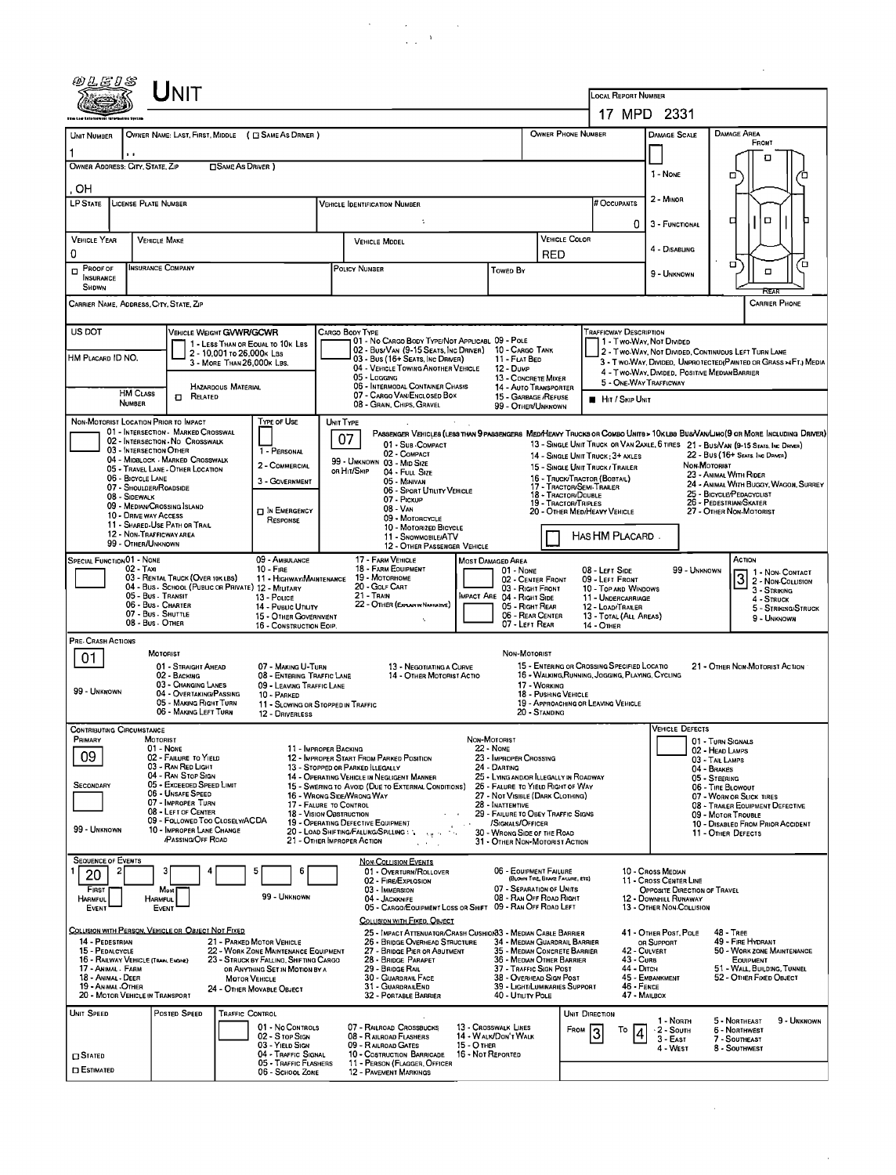|                                                                                                                                                                                                                                                                                                                                                                                                                                                                                                                                                                                                                                                                                                   |                           | NIT                                                                                                                                                                                                                                                                                  |                           |                                                                                                                                                                                                      |           |                                                                                                                                                                                                                                                                                                                                                                                                                                                           |                                                                                  |                                                                                                                                                                                                                                                                                                                                       |                                  |                                                                                                                                                                              |                                                       |                                                                                                                                                                                                            |                                                                                                                                   |                                                                                                                                                                                                                                                                                                                                                                                                           |  |  |
|---------------------------------------------------------------------------------------------------------------------------------------------------------------------------------------------------------------------------------------------------------------------------------------------------------------------------------------------------------------------------------------------------------------------------------------------------------------------------------------------------------------------------------------------------------------------------------------------------------------------------------------------------------------------------------------------------|---------------------------|--------------------------------------------------------------------------------------------------------------------------------------------------------------------------------------------------------------------------------------------------------------------------------------|---------------------------|------------------------------------------------------------------------------------------------------------------------------------------------------------------------------------------------------|-----------|-----------------------------------------------------------------------------------------------------------------------------------------------------------------------------------------------------------------------------------------------------------------------------------------------------------------------------------------------------------------------------------------------------------------------------------------------------------|----------------------------------------------------------------------------------|---------------------------------------------------------------------------------------------------------------------------------------------------------------------------------------------------------------------------------------------------------------------------------------------------------------------------------------|----------------------------------|------------------------------------------------------------------------------------------------------------------------------------------------------------------------------|-------------------------------------------------------|------------------------------------------------------------------------------------------------------------------------------------------------------------------------------------------------------------|-----------------------------------------------------------------------------------------------------------------------------------|-----------------------------------------------------------------------------------------------------------------------------------------------------------------------------------------------------------------------------------------------------------------------------------------------------------------------------------------------------------------------------------------------------------|--|--|
|                                                                                                                                                                                                                                                                                                                                                                                                                                                                                                                                                                                                                                                                                                   |                           |                                                                                                                                                                                                                                                                                      |                           |                                                                                                                                                                                                      |           |                                                                                                                                                                                                                                                                                                                                                                                                                                                           |                                                                                  | LOCAL REPORT NUMBER                                                                                                                                                                                                                                                                                                                   | 17 MPD 2331                      |                                                                                                                                                                              |                                                       |                                                                                                                                                                                                            |                                                                                                                                   |                                                                                                                                                                                                                                                                                                                                                                                                           |  |  |
|                                                                                                                                                                                                                                                                                                                                                                                                                                                                                                                                                                                                                                                                                                   |                           | OWNER NAME: LAST, FIRST, MIDDLE ( C SAME AS DRIVER )                                                                                                                                                                                                                                 |                           |                                                                                                                                                                                                      |           |                                                                                                                                                                                                                                                                                                                                                                                                                                                           |                                                                                  |                                                                                                                                                                                                                                                                                                                                       |                                  | OWNER PHONE NUMBER                                                                                                                                                           |                                                       | <b>DAMAGE SCALE</b>                                                                                                                                                                                        |                                                                                                                                   | <b>DAMAGE AREA</b>                                                                                                                                                                                                                                                                                                                                                                                        |  |  |
| UNIT NUMBER                                                                                                                                                                                                                                                                                                                                                                                                                                                                                                                                                                                                                                                                                       | 1.1                       |                                                                                                                                                                                                                                                                                      |                           |                                                                                                                                                                                                      |           |                                                                                                                                                                                                                                                                                                                                                                                                                                                           |                                                                                  |                                                                                                                                                                                                                                                                                                                                       |                                  |                                                                                                                                                                              |                                                       |                                                                                                                                                                                                            |                                                                                                                                   | FRONT                                                                                                                                                                                                                                                                                                                                                                                                     |  |  |
| OWNER ADDRESS: CITY, STATE, ZIP                                                                                                                                                                                                                                                                                                                                                                                                                                                                                                                                                                                                                                                                   |                           |                                                                                                                                                                                                                                                                                      | <b>CISAME AS DRIVER 1</b> |                                                                                                                                                                                                      |           |                                                                                                                                                                                                                                                                                                                                                                                                                                                           |                                                                                  |                                                                                                                                                                                                                                                                                                                                       |                                  |                                                                                                                                                                              |                                                       | I - NONE                                                                                                                                                                                                   |                                                                                                                                   | л<br>о                                                                                                                                                                                                                                                                                                                                                                                                    |  |  |
| OН                                                                                                                                                                                                                                                                                                                                                                                                                                                                                                                                                                                                                                                                                                |                           |                                                                                                                                                                                                                                                                                      |                           |                                                                                                                                                                                                      |           |                                                                                                                                                                                                                                                                                                                                                                                                                                                           |                                                                                  |                                                                                                                                                                                                                                                                                                                                       |                                  |                                                                                                                                                                              |                                                       |                                                                                                                                                                                                            |                                                                                                                                   |                                                                                                                                                                                                                                                                                                                                                                                                           |  |  |
| <b>LP STATE</b>                                                                                                                                                                                                                                                                                                                                                                                                                                                                                                                                                                                                                                                                                   |                           | LICENSE PLATE NUMBER                                                                                                                                                                                                                                                                 |                           |                                                                                                                                                                                                      |           | Vehicle Identification Number                                                                                                                                                                                                                                                                                                                                                                                                                             |                                                                                  |                                                                                                                                                                                                                                                                                                                                       | # Occupants                      | 2 - MINOR                                                                                                                                                                    |                                                       |                                                                                                                                                                                                            |                                                                                                                                   |                                                                                                                                                                                                                                                                                                                                                                                                           |  |  |
| <b>VEHICLE YEAR</b>                                                                                                                                                                                                                                                                                                                                                                                                                                                                                                                                                                                                                                                                               |                           |                                                                                                                                                                                                                                                                                      |                           |                                                                                                                                                                                                      |           |                                                                                                                                                                                                                                                                                                                                                                                                                                                           | <b>VEHICLE COLOR</b>                                                             | 0                                                                                                                                                                                                                                                                                                                                     | 3 - FUNCTIONAL                   |                                                                                                                                                                              | $\Box$<br>о                                           |                                                                                                                                                                                                            |                                                                                                                                   |                                                                                                                                                                                                                                                                                                                                                                                                           |  |  |
| 0                                                                                                                                                                                                                                                                                                                                                                                                                                                                                                                                                                                                                                                                                                 |                           | <b>VEHICLE MAKE</b>                                                                                                                                                                                                                                                                  |                           |                                                                                                                                                                                                      |           | VEHICLE MODEL                                                                                                                                                                                                                                                                                                                                                                                                                                             |                                                                                  |                                                                                                                                                                                                                                                                                                                                       | <b>RED</b>                       |                                                                                                                                                                              |                                                       | 4 - DISABLING                                                                                                                                                                                              |                                                                                                                                   |                                                                                                                                                                                                                                                                                                                                                                                                           |  |  |
| Insurance Company<br>$P$ ROOF OF<br><b>INSURANCE</b><br>SHDWN                                                                                                                                                                                                                                                                                                                                                                                                                                                                                                                                                                                                                                     |                           |                                                                                                                                                                                                                                                                                      |                           |                                                                                                                                                                                                      |           | <b>POLICY NUMBER</b>                                                                                                                                                                                                                                                                                                                                                                                                                                      |                                                                                  | Toweo By                                                                                                                                                                                                                                                                                                                              |                                  |                                                                                                                                                                              |                                                       | 9 - Unknown                                                                                                                                                                                                |                                                                                                                                   | σ<br>Έ<br>O<br>REAR                                                                                                                                                                                                                                                                                                                                                                                       |  |  |
| <b>CARRIER PHONE</b><br>CARRIER NAME, ADDRESS, CITY, STATE, ZIP                                                                                                                                                                                                                                                                                                                                                                                                                                                                                                                                                                                                                                   |                           |                                                                                                                                                                                                                                                                                      |                           |                                                                                                                                                                                                      |           |                                                                                                                                                                                                                                                                                                                                                                                                                                                           |                                                                                  |                                                                                                                                                                                                                                                                                                                                       |                                  |                                                                                                                                                                              |                                                       |                                                                                                                                                                                                            |                                                                                                                                   |                                                                                                                                                                                                                                                                                                                                                                                                           |  |  |
| US DOT<br>VEHICLE WEIGHT GVWR/GCWR<br>1 - LESS THAN OR EQUAL TO 10K LBS<br>2 - 10.001 to 26,000 k Las<br>HM PLACARD ID NO.<br>3 - MORE THAN 26,000K LBS.<br>HAZARDOUS MATERIAL                                                                                                                                                                                                                                                                                                                                                                                                                                                                                                                    |                           |                                                                                                                                                                                                                                                                                      |                           |                                                                                                                                                                                                      |           | CARGO BODY TYPE<br>01 - No CARGO BODY TYPE/NOT APPLICABL 09 - POLE<br>02 - Bus/Van (9-15 Seats, Inc Driver)<br>03 - Bus (16+ SEATS, INC DRIVER)<br>04 - VEHICLE TOWING ANOTHER VEHICLE<br>05 - Logging<br>06 - INTERMODAL CONTAINER CHASIS                                                                                                                                                                                                                | 10 - Cargo Tank<br>11 - FLAT BED<br>13 - CONCRETE MIXER<br>14 - AUTO TRANSPORTER | 2 - Two-WAY, NOT DIVIDED, CONTINUDUS LEFT TURN LANE<br>3 - Two Way, Divided, Unprotected (Painted or Grass >4Ft.) Media<br>4 - Two-Way, DIVIDED, POSITIVE MEDIAN BARRIER                                                                                                                                                              |                                  |                                                                                                                                                                              |                                                       |                                                                                                                                                                                                            |                                                                                                                                   |                                                                                                                                                                                                                                                                                                                                                                                                           |  |  |
|                                                                                                                                                                                                                                                                                                                                                                                                                                                                                                                                                                                                                                                                                                   | <b>HM CLASS</b><br>NUMBER | <b>D</b> RELATED                                                                                                                                                                                                                                                                     |                           |                                                                                                                                                                                                      |           | 07 - CARGO VAN/ENCLOSED BOX<br>08 - GRAIN, CHIPS, GRAVEL                                                                                                                                                                                                                                                                                                                                                                                                  |                                                                                  | 15 - GARBAGE / REFUSE<br>99 - OTHER/UNKNOWN                                                                                                                                                                                                                                                                                           |                                  |                                                                                                                                                                              | <b>HIT / SKIP UNIT</b>                                |                                                                                                                                                                                                            |                                                                                                                                   |                                                                                                                                                                                                                                                                                                                                                                                                           |  |  |
| TYPE OF USE<br>NON-MOTORIST LOCATION PRIOR TO IMPACT<br>01 - Intersection - MARKED CROSSWAL<br>02 - Intersection No Crosswalk<br>03 - INTERSECTION OTHER<br>1 - PERSONAL<br>04 - MIDBLOCK - MARKED CROSSWALK<br>2 - COMMERCIAL<br>05 - TRAVEL LANE - OTHER LOCATION<br>06 - BICYCLE LANE<br>3 - GOVERNMENT<br>07 - SHOULDER/ROADSIDE<br>08 - Sidewalk<br>09 - MEDIAN/CROSSING ISLAND<br><b>DIN EMERGENCY</b><br>10 - DRIVE WAY ACCESS<br>RESPONSE<br>11 - Shared-Use Path or Trail<br>12 - Non-Trafficway area<br>99 - OTHER/UNKNOWN                                                                                                                                                              |                           |                                                                                                                                                                                                                                                                                      |                           |                                                                                                                                                                                                      | UNIT TYPE | 07<br>01 - Sub - COMPACT<br>02 - COMPACT<br>99 - UNKNOWN 03 - MID SIZE<br>OR HIT/SKIP<br>04 - Full Size<br>05 - MINIVAN<br>06 - Sport Utility Vehicle<br>07 - PICKUP<br>08 - VAN<br>09 - MOTORCYCLE<br>10 - MOTORIZED BICYCLE<br>11 - Snowmobile/ATV<br>12 - OTHER PASSENGER VEHICLE                                                                                                                                                                      |                                                                                  |                                                                                                                                                                                                                                                                                                                                       |                                  | 15 - SINGLE UNIT TRUCK / TRAILER<br>16 - TRUCK/TRACTOR (BOBTAIL)<br>17 - TRACTOR/SEMI-TRAILER<br>18 - TRACTOR/DOUBLE<br>19 - TRACTOR/TRIPLES<br>20 - OTHER MED/HEAVY VEHICLE | 14 - SINGLE UNIT TRUCK: 3+ AXLES<br>HAS HM PLACARD.   |                                                                                                                                                                                                            | Non-Motorist                                                                                                                      | PASSENGER VEHICLES (LESS THAN 9 PASSENGERS MEDIMEAVY TRUCKS OR COMBO UNITS > 10KLBS BUS/VAMLIMO(9 OR MORE INCLUDING DRIVER)<br>13 - SINGLE UNIT TRUCK OR VAN 2AXLE, 6 TIRES 21 - BUS/VAN (9-15 SEATS, INC DRIVER)<br>22 - BUS (16+ SEATS, INC DRIVER)<br>23 - ANIMAL WITH RIDER<br>24 - ANIMAL WITH BUGGY, WAGON, SURREY<br>25 - BICYCLE/PEDACYCLIST<br>26 - PEDESTRIAN/SKATER<br>27 - OTHER NON-MOTORIST |  |  |
| 09 - AMBULANCE<br>SPECIAL FUNCTION 01 - NONE<br>$02 - TAX$<br>$10 -$ Fire<br>03 - RENTAL TRUCK (OVER 10K LBS)<br>11 - Highway/Maintenance<br>04 - Bus - School (Public or Private) 12 - MILITARY<br>05 - Bus - Transit<br>13 - Pouce<br>06 - Bus - Charter<br>14 - PUBLIC UTILITY<br>07 - Bus - Shuttle<br>15 - OTHER GOVERNMENT<br>08 - Bus - Other                                                                                                                                                                                                                                                                                                                                              |                           |                                                                                                                                                                                                                                                                                      |                           |                                                                                                                                                                                                      |           | 17 - FARM VEHICLE<br><b>MOST DAMAGED AREA</b><br>18 - FARM EQUIPMENT<br>01 - None<br>08 - LEFT SIDE<br>19 - Мотокноме<br>02 - CENTER FRONT<br>09 - LEFT FRONT<br>20 - GOLF CART<br>03 - RIGHT FRONT<br>10 - TOP AND WINDOWS<br>21 - TRAIN<br>MPACT ARE 04 - RIGHT SIDE<br>11 - UNDERCARRIAGE<br>22 - OTHER (EXPLAN IN NARRATIVE)<br>05 - RIGHT REAR<br>12 - LOAD/TRAILER<br>06 - REAR CENTER<br>13 - TOTAL (ALL AREAS)<br>07 - LEFT REAR<br>14 - OTHER    |                                                                                  |                                                                                                                                                                                                                                                                                                                                       |                                  |                                                                                                                                                                              |                                                       |                                                                                                                                                                                                            | Астюн<br>99 - Unknown<br>1 - Non-Contact<br>2 - NON-COLLISION<br>3 - Striking<br>4 - STRUCK<br>5 - STRIKING/STRUCK<br>9 - Unknown |                                                                                                                                                                                                                                                                                                                                                                                                           |  |  |
| 16 - CONSTRUCTION EOIP.<br>PRE-CRASH ACTIONS<br>MOTORIST<br>NON-MOTORIST<br>01<br>15 - ENTERING OR CROSSING SPECIFIED LOCATIO<br>01 - STRAIGHT AHEAD<br>07 - MAKING U-TURN<br>13 - Negotiating a Curve<br>21 - OTHER NON-MOTORIST ACTION<br>16 - WALKING, RUNNING, JOGGING, PLAYING, CYCLING<br>02 - BACKING<br>08 - ENTERING TRAFFIC LANE<br>14 - OTHER MOTORIST ACTIO<br>03 - CHANGING LANES<br>17 - Working<br>09 - LEAVING TRAFFIC LANE<br>99 - UNKNOWN<br>04 - OVERTAKING/PASSING<br>18 - PUSHING VEHICLE<br>10 - PARKED<br>05 - MAKING RIGHT TURN<br>19 - APPROACHING OR LEAVING VEHICLE<br>11 - Slowing or Stopped in Traffic<br>06 - Making LEFT TURN<br>20 - STANDING<br>12 - DRIVERLESS |                           |                                                                                                                                                                                                                                                                                      |                           |                                                                                                                                                                                                      |           |                                                                                                                                                                                                                                                                                                                                                                                                                                                           |                                                                                  |                                                                                                                                                                                                                                                                                                                                       |                                  |                                                                                                                                                                              |                                                       |                                                                                                                                                                                                            |                                                                                                                                   |                                                                                                                                                                                                                                                                                                                                                                                                           |  |  |
| <b>CONTRIBUTING CIRCUMSTANCE</b><br>PRIMARY<br>09<br><b>SECONDARY</b><br>99 - UNKNOWN                                                                                                                                                                                                                                                                                                                                                                                                                                                                                                                                                                                                             |                           | MOTORIST<br>01 - None<br>02 - FAILURE TO YIELD<br>03 - RAN RED LIGHT<br>04 - RAN STOP SIGN<br>05 - Exceeded Speed LIMIT<br>06 - Unsafe Speed<br>07 - IMPROPER TURN<br>08 - LEFT OF CENTER<br>09 - FOLLOWED TOO CLOSELY/ACDA<br>10 - IMPROPER LANE CHANGE<br><b>/PASSING/OFF ROAD</b> |                           | 11 - IMPROPER BACKING<br>17 - FALURE TO CONTROL<br>18 - VISION OBSTRUCTION                                                                                                                           |           | 12 - IMPROPER START FROM PARKED POSITION<br>13 - STOPPED OR PARKED ILLEGALLY<br>14 - OPERATING VEHICLE IN NEGLIGENT MANNER<br>15 - Swering to Avoid (Due to External Conditions)<br>16 - WRONG SIDE/WRONG WAY<br>19 - OPERATING DEFECTIVE EQUIPMENT<br>20 - LOAD SHIFTING/FALLING/SPILLING : Web Let<br>21 - OTHER IMPROPER ACTION                                                                                                                        |                                                                                  | NON-MOTORIST<br>22 - None<br>23 - IMPROPER CROSSING<br>24 - DARTING<br>25 - LYING AND/OR ILLEGALLY IN ROADWAY<br>26 - FALURE TO YIELD RIGHT OF WAY<br>27 - NOT VISIBLE (DARK CLOTHING)<br>28 - INATTENTIVE<br>29 - FAILURE TO OBEY TRAFFIC SIGNS<br>/SIGNALS/OFFICER<br>30 - WRONG SIDE OF THE ROAD<br>31 - OTHER NON-MOTORIST ACTION |                                  |                                                                                                                                                                              |                                                       | VEHICLE DEFECTS                                                                                                                                                                                            | 02 - HEAD LAMPS<br>03 - TAIL LAMPS<br>04 - BRAKES<br>05 - STEERING                                                                | 01 - TURN SIGNALS<br>06 - TIRE BLOWOUT<br>07 - WORN OR SLICK TIRES<br>08 - TRAILER EQUIPMENT DEFECTIVE<br>09 - MOTOR TROUBLE<br>10 - DISABLED FROM PRIOR ACCIDENT<br>11 - OTHER DEFECTS                                                                                                                                                                                                                   |  |  |
| <b>SEQUENCE OF EVENTS</b><br>20<br>FIRST<br>Harmful<br>EVENT<br>14 - PEDESTRIAN<br>15 - PEDALCYCLE<br>17 - Animal - Farm<br>18 - Animal - Deer<br>19 - Animal Other                                                                                                                                                                                                                                                                                                                                                                                                                                                                                                                               | 2                         | з<br>Most<br><b>HARMFUL</b><br>EVENT<br>COLLISION WITH PERSON, VEHICLE OR OBJECT NOT FIXED<br>16 - RAILWAY VEHICLE (TRAN, ENGINE)<br>20 - MOTOR VEHICLE IN TRANSPORT                                                                                                                 | <b>MOTOR VEHICLE</b>      | 6<br>5<br>99 - UNKNOWN<br>21 - PARKED MOTOR VEHICLE<br>22 - WORK ZONE MAINTENANCE EQUIPMENT<br>23 - STRUCK BY FALLING, SHIFTING CARGO<br>OR ANYTHING SET IN MOTION BY A<br>24 - OTHER MOVABLE OBJECT |           | NON-COLLISION EVENTS<br>01 - OVERTURN/ROLLOVER<br>02 - FIRE/EXPLOSION<br>03 - IMMERSION<br>04 - JACKKNIFE<br>05 - CARGO/EQUIPMENT LOSS OR SHIFT 09 - RAN OFF ROAD LEFT<br>COLLISION WITH FIXED, OBJECT<br>25 - IMPACT ATTENUATOR/CRASH CUSHION33 - MEDIAN CABLE BARRIER<br>26 - BRIDGE OVERHEAD STRUCTURE<br>27 - BRIDGE PIER OR ABUTMENT<br>28 - BRIDGE PARAPET<br>29 - BRIDGE RAIL<br>30 - GUARDRAIL FACE<br>31 - GUARDRAILEND<br>32 - PORTABLE BARRIER |                                                                                  | 06 - EQUIPMENT FAILURE<br>07 - SEPARATION OF UNITS<br>08 - RAN OFF ROAD RIGHT<br>34 - MEDIAN GUARDRAIL BARRIER<br>35 - MEDIAN CONCRETE BARRIER<br>36 - MEDIAN OTHER BARRIER<br>37 - TRAFFIC SIGN POST<br>38 - Overhead Sign Post<br>39 - LIGHT/LUMINARIES SUPPORT<br>40 - Unury Pole                                                  | (BLOWN TIRE, BRAKE FAILURE, ETC) |                                                                                                                                                                              | 43 - Curs<br>44 - Олтсн<br>46 - FENCE<br>47 - MAILBOX | 10 - Cross Median<br>11 - Cross Center Line<br>OPPOSITE DIRECTION OF TRAVEL<br>12 - DOWNHILL RUNAWAY<br>13 - OTHER NON-COLLISION<br>41 - OTHER POST, POLE<br>OR SUPPORT<br>42 - CULVERT<br>45 - EMBANKMENT |                                                                                                                                   | 48 - TREE<br>49 - Fire Hydrant<br>50 - WORK ZONE MAINTENANCE<br><b>EQUIPMENT</b><br>51 - WALL, BUILDING, TUNNEL<br>52 - OTHER FIXED OBJECT                                                                                                                                                                                                                                                                |  |  |
| Unit Speed<br>$\square$ Stated<br><b>D</b> ESTIMATED                                                                                                                                                                                                                                                                                                                                                                                                                                                                                                                                                                                                                                              |                           | Posted Speed                                                                                                                                                                                                                                                                         | <b>TRAFFIC CONTROL</b>    | 01 - No CONTROLS<br>02 - S TOP SIGN<br>03 - YIELD SIGN<br>04 - TRAFFIC SIGNAL<br>05 - TRAFFIC FLASHERS<br>06 - School Zone                                                                           |           | 07 - RAILROAD CROSSBUCKS<br>08 - RAILROAD FLASHERS<br>09 - RAILROAD GATES<br>10 - COSTRUCTION BARRICADE<br>11 - PERSON (FLAGGER, OFFICER<br><b>12 - PAVEMENT MARKINGS</b>                                                                                                                                                                                                                                                                                 | 15 - О тнея<br>16 - Not Reported                                                 | 13 - CROSSWALK LINES<br>14 - WALK/DON'T WALK                                                                                                                                                                                                                                                                                          |                                  | UNIT DIRECTION<br>FROM                                                                                                                                                       | То<br>4                                               | 1 - Norm<br>· 2 - South<br>$3 - EAST$<br>4 - West                                                                                                                                                          |                                                                                                                                   | 5 - Northeast<br>9 - UNKNOWN<br>6 - NORTHWEST<br>7 - SOUTHEAST<br>8 - SOUTHWEST                                                                                                                                                                                                                                                                                                                           |  |  |

 $\label{eq:2.1} \begin{split} \mathcal{A}^{(1)} & = \mathcal{A}^{(1)} \left( \mathcal{A}^{(1)} \right) \quad \text{and} \quad \mathcal{A}^{(2)} \end{split}$ 

 $\mathcal{A}^{\mathcal{A}}$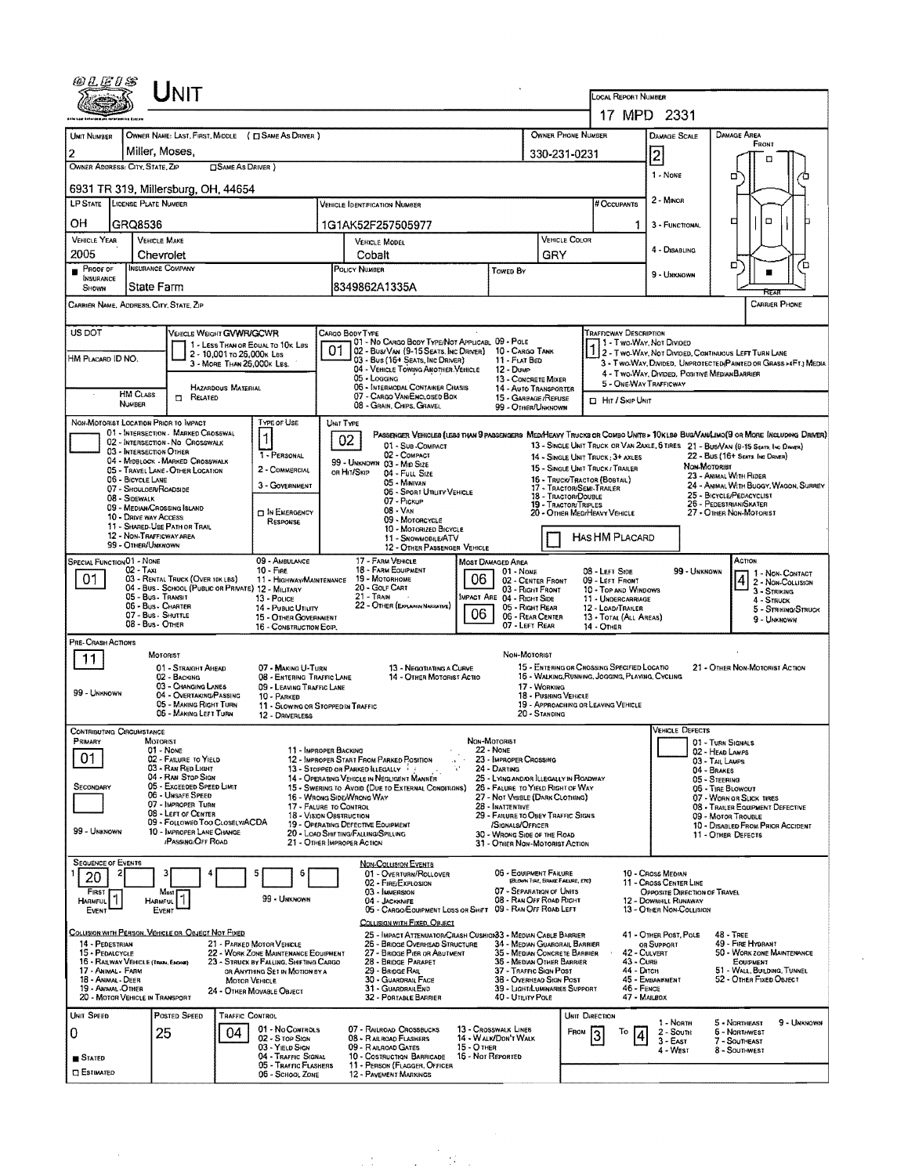| UNIT                                                                                                                                                                                                                                                                                                                                                      |                                                                       |                                                                                                   |                                                                                 |                                                                                                                                                                                                                   |  |  |  |  |  |
|-----------------------------------------------------------------------------------------------------------------------------------------------------------------------------------------------------------------------------------------------------------------------------------------------------------------------------------------------------------|-----------------------------------------------------------------------|---------------------------------------------------------------------------------------------------|---------------------------------------------------------------------------------|-------------------------------------------------------------------------------------------------------------------------------------------------------------------------------------------------------------------|--|--|--|--|--|
|                                                                                                                                                                                                                                                                                                                                                           |                                                                       | LOCAL REPORT NUMBER<br>17 MPD 2331                                                                |                                                                                 |                                                                                                                                                                                                                   |  |  |  |  |  |
|                                                                                                                                                                                                                                                                                                                                                           |                                                                       |                                                                                                   |                                                                                 |                                                                                                                                                                                                                   |  |  |  |  |  |
| UNIT NUMBER<br>OWNER NAME: LAST, FIRST, MIDDLE ( C) SAME AS DRIVER )                                                                                                                                                                                                                                                                                      | OWNER PHONE NUMBER                                                    |                                                                                                   | <b>DAMAGE SCALE</b>                                                             | DAMAGE AREA<br>FRONT                                                                                                                                                                                              |  |  |  |  |  |
| Miller, Moses,<br>$\overline{2}$<br>OWNER ADDRESS: CITY, STATE, ZIP<br>SAME AS DRIVER)                                                                                                                                                                                                                                                                    | 330-231-0231                                                          |                                                                                                   | 2                                                                               |                                                                                                                                                                                                                   |  |  |  |  |  |
| 6931 TR 319, Millersburg, OH, 44654                                                                                                                                                                                                                                                                                                                       |                                                                       |                                                                                                   | 1 - None                                                                        | ▫                                                                                                                                                                                                                 |  |  |  |  |  |
| LP STATE LICENSE PLATE NUMBER<br><b>VEHICLE IDENTIFICATION NUMBER</b>                                                                                                                                                                                                                                                                                     |                                                                       | 2 - MINOR<br># Occupants                                                                          |                                                                                 |                                                                                                                                                                                                                   |  |  |  |  |  |
| OН<br>GRQ8536<br>1G1AK52F257505977                                                                                                                                                                                                                                                                                                                        |                                                                       | 1.                                                                                                | 3 - FUNCTIONAL                                                                  | O<br>□                                                                                                                                                                                                            |  |  |  |  |  |
| <b>VEHICLE YEAR</b><br><b>VEHICLE MAKE</b><br><b>VEHICLE MODEL</b>                                                                                                                                                                                                                                                                                        | VEHICLE COLOR                                                         |                                                                                                   |                                                                                 |                                                                                                                                                                                                                   |  |  |  |  |  |
| 2005<br>Chevrolet<br>Cobalt<br><b>INSURANCE COMPANY</b><br>POLICY NUMBER                                                                                                                                                                                                                                                                                  | GRY                                                                   |                                                                                                   | 4 - DISABLING                                                                   | ם<br>ם                                                                                                                                                                                                            |  |  |  |  |  |
| PROOF OF<br>INSURANCE<br>8349862A1335A<br>State Farm<br>SHOWN                                                                                                                                                                                                                                                                                             | TOWED BY                                                              |                                                                                                   | 9 - Unknown                                                                     |                                                                                                                                                                                                                   |  |  |  |  |  |
| CARRIER NAME, ADDRESS, CITY, STATE, ZIP                                                                                                                                                                                                                                                                                                                   |                                                                       |                                                                                                   |                                                                                 | CARRIER PHONE                                                                                                                                                                                                     |  |  |  |  |  |
| US DOT                                                                                                                                                                                                                                                                                                                                                    |                                                                       |                                                                                                   |                                                                                 |                                                                                                                                                                                                                   |  |  |  |  |  |
| VEHICLE WEIGHT GWWFUGCWR<br>CARGO BODY TYPE<br>01 - No CARGO BODY TYPE/NOT APPLICABL 09 - POLE<br>1 - LESS THAN OR EQUAL TO 10K LBS<br>02 - Bus/Van (9-15 Seats, Inc Driver)                                                                                                                                                                              | 10 - Cargo Tank                                                       | <b>TRAFFICWAY DESCRIPTION</b><br>11 - Two Way, Not Divided                                        |                                                                                 |                                                                                                                                                                                                                   |  |  |  |  |  |
| 2 - 10,001 to 26,000k Las<br>HM PLACARD ID NO.<br>03 - Bus (16+ Seats, Inc Driver)<br>3 - MORE THAN 26,000K LBS.<br>04 - VEHICLE TOWING ANOTHER VEHICLE                                                                                                                                                                                                   | 11 - FLAT BED<br>12 - Duwe                                            |                                                                                                   |                                                                                 | 2 - Two-Way, Not Divided, Continuous Left Turn Lane<br>3 - Two-Way, Divided, Unprotected Painted or Grass >4Ft.) Media                                                                                            |  |  |  |  |  |
| 05 - Logaina<br>06 - INTERMODAL CONTAINER CHASIS<br>HAZARDOUS MATERIAL                                                                                                                                                                                                                                                                                    | 13 - CONCRETE MIXER<br>14 - AUTO TRANSPORTER                          |                                                                                                   | 4 - Two-Way, DIVIDED, POSITIVE MEDIAN BARRIER<br>5 - ONE WAY TRAFFICWAY         |                                                                                                                                                                                                                   |  |  |  |  |  |
| <b>HM CLASS</b><br>07 - CARGO VANIENCLOSED BOX<br>RELATED<br>п.<br>NUMBER<br>08 - GRAIN, CHIPS, GRAVEL                                                                                                                                                                                                                                                    | 15 - GARBAGE / REFUSE<br>99 - OTHER/UNKNOWN                           | HIT / SKIP UNIT                                                                                   |                                                                                 |                                                                                                                                                                                                                   |  |  |  |  |  |
| TYPE OF USE<br>NON-MOTORIST LOCATION PRIOR TO IMPACT<br>UNIT TYPE                                                                                                                                                                                                                                                                                         |                                                                       |                                                                                                   |                                                                                 |                                                                                                                                                                                                                   |  |  |  |  |  |
| 01 - INTERSECTION - MARKED CROSSWAL<br>1<br>02<br>02 - INTERSECTION - NO CROSSWALK<br>01 - Sub - COMPACT<br>03 - INTERSECTION OTHER                                                                                                                                                                                                                       |                                                                       |                                                                                                   |                                                                                 | PASSENGER VEHICLES (LESS THAN 9 PASSENGERS MEDIMEANY TRUCKS OR COMBO UNITS > 10KLBS BUS/VAN/LIMO(9 OR MORE INCLUDING DRIVER)<br>13 - SINGLE UNIT TRUCK OR VAN ZAXLE, 6 TIRES 21 - BUS/VAN (9-15 SEATS, INC DRAFR) |  |  |  |  |  |
| 02 - COMPACT<br>1 - PERSONAL<br>04 - MIDBLOCK - MARKED CROSSWALK<br>99 - UNKNOWN 03 - MID SIZE<br>2 - COMMERCIAL                                                                                                                                                                                                                                          |                                                                       | 14 - SINGLE UNIT TRUCK; 3+ AXLES<br>15 - SINGLE UNIT TRUCK / TRAILER                              | NON-MOTORIET                                                                    | 22 - Bus (16+ Seats, Inc. Droner)                                                                                                                                                                                 |  |  |  |  |  |
| 05 - TRAVEL LANE - OTHER LOCATION<br>OR HIT/SKIP<br>04 - FULL SIZE<br>06 - BICYCLE LANE<br>05 - MINIVAN<br>3 - GOVERNMENT<br>07 - Shouloer/Roadside                                                                                                                                                                                                       | 16 - TRUCK/TRACTOR (BOBTAIL)<br>17 - TRACTOR/SEMI-TRAILER             |                                                                                                   |                                                                                 | 23 - ANIMAL WITH RIDER<br>24 - ANIMAL WITH BUGGY, WAGON, SURREY                                                                                                                                                   |  |  |  |  |  |
| 06 - Sport Utility Vehicle<br>08 - SIDEWALK<br>07 - Pickup<br>09 - MEDIAN/CROSSING ISLAND                                                                                                                                                                                                                                                                 |                                                                       | 25 - BICYCLE/PEDACYCLIST<br>18 - TRACTOR/DOUBLE<br>26 - PEDESTRIAN/SKATER<br>19 - TRACTOR/TRIPLES |                                                                                 |                                                                                                                                                                                                                   |  |  |  |  |  |
| $08 - V_{AN}$<br><b>D</b> IN EMERGENCY<br>10 - DRIVE WAY ACCESS<br>09 - MOTORCYCLE<br>RESPONSE<br>11 - SHARED-USE PATH OR TRAIL                                                                                                                                                                                                                           |                                                                       | 20 - OTHER MEDIHEAVY VEHICLE                                                                      |                                                                                 | 27 - OTHER NON-MOTORIST                                                                                                                                                                                           |  |  |  |  |  |
| 10 - MOTORIZED BICYCLE<br>12 - NON-TRAFFICWAY AREA<br>11 - SNOWMOBILEATV<br>99 - OTHER/UNKNOWN<br>12 - OTHER PASSENGER VEHICLE                                                                                                                                                                                                                            |                                                                       |                                                                                                   | <b>HAS HM PLACARD</b>                                                           |                                                                                                                                                                                                                   |  |  |  |  |  |
| 09 - AMBULANCE<br>17 - FARM VEHICLE<br>SPECIAL FUNCTION 01 - NONE                                                                                                                                                                                                                                                                                         | <b>MOST DAMAGED AREA</b>                                              |                                                                                                   |                                                                                 | ACTION                                                                                                                                                                                                            |  |  |  |  |  |
| 18 - FARM EQUIPMENT<br>02 - Тахі<br>10 - FIRE<br>06<br>01<br>03 - RENTAL TRUCK (OVER 10K LBS)<br>19 - MOTORHOME<br>11 - HIGHWAY/MAINTENANCE<br>20 - GOLF CART                                                                                                                                                                                             | 01 - NONE<br>02 - CENTER FRONT                                        | 99 - Unknown<br>08 - LEFT SIDE<br>09 - LEFT FRONT                                                 |                                                                                 |                                                                                                                                                                                                                   |  |  |  |  |  |
| 04 - Bus - School (Public or Private) 12 - Milltary<br>05 - Bus Triansit<br>21 - Train<br>13 - Pouce<br>22 - OTHER (EXPLANDIN NARRATIVE)<br>06 - Bus - Charter                                                                                                                                                                                            | 03 - RIGHT FRONT<br>MPACT ARE 04 - RIGHT SIDE                         | 10 - TOP AND WINDOWS<br>11 - UNDERCARRIAGE                                                        |                                                                                 | 3 - STRIKING<br>4 - STRUCK                                                                                                                                                                                        |  |  |  |  |  |
| 14 - PuBuc UTHITY<br>06<br>07 - Bus - Shuttle<br>15 - OTHER GOVERNMENT<br>08 - Bus - Other<br>16 - CONSTRUCTION EOIP.                                                                                                                                                                                                                                     | 05 - RIGHT REAR<br>06 - REAR CENTER<br>07 - LEFT REAR                 | 12 - LOAD/TRAILER<br>13 - TOTAL (ALL AREAS)<br>14 - OTHER                                         |                                                                                 | 5 - STRIKING/STRUCK<br>9 - UNKNOWN                                                                                                                                                                                |  |  |  |  |  |
| PRE-CRASH ACTIONS                                                                                                                                                                                                                                                                                                                                         |                                                                       |                                                                                                   |                                                                                 |                                                                                                                                                                                                                   |  |  |  |  |  |
| MOTORIST<br>11                                                                                                                                                                                                                                                                                                                                            | NON-MOTORIST                                                          | 15 - ENTERING OR CROSSING SPECIFIED LOCATIO                                                       |                                                                                 |                                                                                                                                                                                                                   |  |  |  |  |  |
| 01 - STRAIGHT AHEAD<br>07 - MAKING U-TURN<br>13 - Negotiating a Curve<br>14 - OTHER MOTORIST ACTIO<br>02 - BACKING<br>08 - Entering Traffic Lane<br>03 - CHANGING LANES                                                                                                                                                                                   | 17 - WORKING                                                          | 16 - WALKING, RUNNING, JOGGING, PLAYING, CYCLING                                                  |                                                                                 | 21 - OTHER NON-MOTORIST ACTION                                                                                                                                                                                    |  |  |  |  |  |
| 09 - LEAVING TRAFFIC LANE<br>99 - UNKNOWN<br>04 - OVERTAKING/PASSING<br>10 - PARKED<br>05 - MAKING RIGHT TURN<br>11 - SLOWING OR STOPPED IN TRAFFIC                                                                                                                                                                                                       | <b>18 - PUSHING VEHICLE</b><br>19 - APPROACHING OR LEAVING VEHICLE    |                                                                                                   |                                                                                 |                                                                                                                                                                                                                   |  |  |  |  |  |
| 06 - MAKING LEFT TURN<br>12 - DRIVERLESS                                                                                                                                                                                                                                                                                                                  | 20 - STANDING                                                         |                                                                                                   |                                                                                 |                                                                                                                                                                                                                   |  |  |  |  |  |
| <b>CONTRIBUTING CIRCUMSTANCE</b><br>Primary<br><b>MOTORIST</b>                                                                                                                                                                                                                                                                                            | NON-MOTORIST                                                          |                                                                                                   | <b>VEHICLE DEFECTS</b>                                                          | 01 - TURN SIGNALS                                                                                                                                                                                                 |  |  |  |  |  |
| 01 - None<br>11 - IMPROPER BACKING<br>01<br>02 - FAILURE TO YIELD<br>12 - IMPROPER START FROM PARKED POSITION                                                                                                                                                                                                                                             | 22 NONE<br>23 - IMPROPER CROSSING                                     |                                                                                                   |                                                                                 | 02 - HEAD LAMPS<br>03 - TAIL LAMPS                                                                                                                                                                                |  |  |  |  |  |
| 03 - RAN RED LIGHT<br>13 - Stopped or Parked Illegally<br>04 - RAN STOP SIGN<br>14 - OPERATING VEHICLE IN NEGLIGENT MANNER                                                                                                                                                                                                                                | 24 - DARTING<br>25 - LYING ANDIOR ILLEGALLY IN ROADWAY                |                                                                                                   |                                                                                 | 04 - BRAKES<br>05 - Steening                                                                                                                                                                                      |  |  |  |  |  |
| 05 - Exceeded Speed LIMIT<br>SECONDARY<br>15 - Swering to Avoid (Due to External Conditions)<br>06 - UNSAFE SPEED<br>16 - Wrong Side/Wrong Way                                                                                                                                                                                                            | 26 - FALURE TO YIELD RIGHT OF WAY<br>27 - NOT VISIBLE (DARK CLOTHING) | 06 - TIRE BLOWOUT<br>07 - WORN OR SLICK TIRES                                                     |                                                                                 |                                                                                                                                                                                                                   |  |  |  |  |  |
| 07 - IMPROPER TURN<br>17 - FALURE TO CONTROL<br>08 - LEFT OF CENTER<br>18 - Vision Obstruction<br>09 - Followed Too Closelv/ACDA                                                                                                                                                                                                                          | 28 - INATTENTIVE<br>29 - FAILURE TO OBEY TRAFFIC SIGNS                |                                                                                                   | 08 - TRAILER EQUIPMENT DEFECTIVE<br>09 - MOTOR TROUBLE                          |                                                                                                                                                                                                                   |  |  |  |  |  |
| 19 - OPERATING DEFECTIVE EQUIPMENT<br>99 - UNKNOWN<br>10 - IMPROPER LANE CHANGE<br>20 - LOAD SHIFTINGIFALLINGISPILLING<br><b>PASSING OFF ROAD</b>                                                                                                                                                                                                         | /SIGNALS/OFFICER<br>30 - WRONG SIDE OF THE ROAD                       |                                                                                                   |                                                                                 | 10 - DISABLED FROM PRIOR ACCIDENT<br>11 - Other Defects                                                                                                                                                           |  |  |  |  |  |
| 21 - OTHER IMPROPER ACTION                                                                                                                                                                                                                                                                                                                                | 31 - OTHER NON-MOTORIST ACTION                                        |                                                                                                   |                                                                                 |                                                                                                                                                                                                                   |  |  |  |  |  |
| <b>SEQUENCE OF EVENTS</b><br><b>NON-COLLISION EVENTS</b><br>01 - OVERTURN/ROLLOVER<br>З<br>-b<br>20                                                                                                                                                                                                                                                       | 06 - EQUIPMENT FAILURE<br>(BLOWN TIRE, BRAKE FAILURE, ETC)            |                                                                                                   | 10 - Cross Median                                                               |                                                                                                                                                                                                                   |  |  |  |  |  |
| 02 - FIRE/EXPLOSION<br>03 - IMMERSION<br>FIRST<br>Most<br>99 - Unknown<br>04 - JACKKNIFE                                                                                                                                                                                                                                                                  | 07 - Separation of Units<br>08 - RAN OFF ROAD RIGHT                   |                                                                                                   | 11 - Cross CENTER LINE<br>OPPOSITE DIRECTION OF TRAVEL<br>12 - DOWNHILL RUNAWAY |                                                                                                                                                                                                                   |  |  |  |  |  |
| HARMFUL<br><b>HARMFUL</b><br>05 - CARGO/EQUIPMENT LOSS OR SHIFT 09 - RAN OFF ROAD LEFT<br>EVENT<br>EVENT                                                                                                                                                                                                                                                  |                                                                       |                                                                                                   | 13 - OTHER NON-COLLISION                                                        |                                                                                                                                                                                                                   |  |  |  |  |  |
| COLLISION WITH FIXED, OBJECT<br>COLLISION WITH PERSON, VEHICLE OR OBJECT NOT FIXED<br>25 - IMPACT ATTENUATOR/CRASH CUSHIOI83 - MEDIAN CABLE BARRIER                                                                                                                                                                                                       |                                                                       |                                                                                                   | 41 - OTHER POST, POLE                                                           | 48 TREE                                                                                                                                                                                                           |  |  |  |  |  |
| 14 - PEDESTRIAN<br>21 - PARKED MOTOR VEHICLE<br>26 - BRIDGE OVERHEAD STRUCTURE<br>15 - PEDALCYCLE<br>22 - WORK ZONE MAINTENANCE EQUIPMENT<br>27 - BRIDGE PIER OR ABUTMENT                                                                                                                                                                                 | 34 - MEDIAN GUARORAIL BARRIER<br>35 - Median Concrete Barrier         | 42 - CULVERT                                                                                      | OR SUPPORT                                                                      | 49 - FIRE HYDRANT<br>50 - WORK ZONE MAINTENANCE                                                                                                                                                                   |  |  |  |  |  |
| 16 - RAILWAY VEHICLE (TRAIN, ENGINE)<br>23 - STRUCK BY FALLING, SHIFTING CARGO<br>28 - BRIDGE PARAPET<br>17 - ANIMAL - FARM<br>OR ANYTHING SET IN MOTION BY A<br>29 - BRIDGE RAIL                                                                                                                                                                         | 36 - MEDIAN OTHER BARRIER<br>37 - TRAFFIC SIGN POST                   | 43 - Curs<br>44 - Dirch                                                                           |                                                                                 | EQUIPMENT<br>51 - WALL, BUILDING, TUNNEL                                                                                                                                                                          |  |  |  |  |  |
| 18 - Animal Deer<br>30 - GUARDRAIL FACE<br>38 - OVERHEAD SIGN POST<br>45 - EMBANKMENT<br>52 - OTHER FIXED OBJECT<br>MOTOR VEHICLE<br>19 - Animal -Other<br>31 - GUARDRAILEND<br>39 - LIGHT/LUMINARIES SUPPORT<br>46 - FENCE<br>24 - OTHER MOVABLE OBJECT<br>47 - MAILBOX<br>20 - Motor Vehicle in Transport<br>32 - PORTABLE BARRIER<br>40 - UTILITY POLE |                                                                       |                                                                                                   |                                                                                 |                                                                                                                                                                                                                   |  |  |  |  |  |
| UNIT SPEED<br>Posted SPEED<br><b>TRAFFIC CONTROL</b>                                                                                                                                                                                                                                                                                                      |                                                                       | UNIT DIRECTION                                                                                    |                                                                                 |                                                                                                                                                                                                                   |  |  |  |  |  |
|                                                                                                                                                                                                                                                                                                                                                           |                                                                       |                                                                                                   | 1 - North                                                                       | 5 - Northeast<br>9 - UNKNOWN                                                                                                                                                                                      |  |  |  |  |  |
| 01 - No CONTROLS<br>07 - RAILROAD CROSSBUCKS<br>25<br>04<br>0                                                                                                                                                                                                                                                                                             | 13 - Crosswalk Lines<br>FROM                                          | To                                                                                                | 2 - South                                                                       | 6 - Northwest                                                                                                                                                                                                     |  |  |  |  |  |
| 02 - S TOP SIGN<br>08 - RAILROAD FLASHERS<br>03 - YIELD SIGN<br>09 - RAILROAD GATES<br>15 - О тнея<br>04 - TRAFFIC SIGNAL<br>10 - COSTRUCTION BARRICADE<br>STATED                                                                                                                                                                                         | 14 - WALK/DON'T WALK<br>16 - Nor Reported                             |                                                                                                   | $3 - EAST$<br>4 - West                                                          | 7 - Southeast<br>8 - Southwest                                                                                                                                                                                    |  |  |  |  |  |

 $\label{eq:2.1} \frac{1}{2}\left(1-\frac{1}{2}\right)\left(\frac{1}{2}\right)\frac{d^2}{d^2}\left(\frac{d^2}{d^2}\right).$ 

 $\sim$ 

 $\Delta$